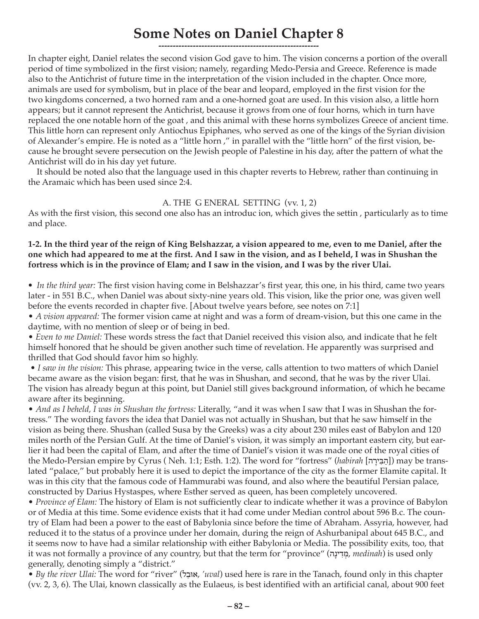# **Some Notes on Daniel Chapter 8 --------------------------------------------------------**

In chapter eight, Daniel relates the second vision God gave to him. The vision concerns a portion of the overall period of time symbolized in the first vision; namely, regarding Medo-Persia and Greece. Reference is made also to the Antichrist of future time in the interpretation of the vision included in the chapter. Once more, animals are used for symbolism, but in place of the bear and leopard, employed in the first vision for the two kingdoms concerned, a two horned ram and a one-horned goat are used. In this vision also, a little horn appears; but it cannot represent the Antichrist, because it grows from one of four horns, which in turn have replaced the one notable horn of the goat , and this animal with these horns symbolizes Greece of ancient time. This little horn can represent only Antiochus Epiphanes, who served as one of the kings of the Syrian division of Alexander's empire. He is noted as a "little horn ," in parallel with the "little horn" of the first vision, because he brought severe persecution on the Jewish people of Palestine in his day, after the pattern of what the Antichrist will do in his day yet future.

 It should be noted also that the language used in this chapter reverts to Hebrew, rather than continuing in the Aramaic which has been used since 2:4.

# A. THE G ENERAL SETTING (vv. 1, 2)

As with the first vision, this second one also has an introduc ion, which gives the settin , particularly as to time and place.

## **1-2. In the third year of the reign of King Belshazzar, a vision appeared to me, even to me Daniel, after the one which had appeared to me at the first. And I saw in the vision, and as I beheld, I was in Shushan the fortress which is in the province of Elam; and I saw in the vision, and I was by the river Ulai.**

*• In the third year:* The first vision having come in Belshazzar's first year, this one, in his third, came two years later - in 551 B.C., when Daniel was about sixty-nine years old. This vision, like the prior one, was given well before the events recorded in chapter five. [About twelve years before, see notes on 7:1]

• *A vision appeared:* The former vision came at night and was a form of dream-vision, but this one came in the daytime, with no mention of sleep or of being in bed.

• *Even to me Daniel:* These words stress the fact that Daniel received this vision also, and indicate that he felt himself honored that he should be given another such time of revelation. He apparently was surprised and thrilled that God should favor him so highly.

 • *I saw in the vision:* This phrase, appearing twice in the verse, calls attention to two matters of which Daniel became aware as the vision began: first, that he was in Shushan, and second, that he was by the river Ulai. The vision has already begun at this point, but Daniel still gives background information, of which he became aware after its beginning.

• *And as I beheld, I was in Shushan the fortress:* Literally, "and it was when I saw that I was in Shushan the fortress." The wording favors the idea that Daniel was not actually in Shushan, but that he saw himself in the vision as being there. Shushan (called Susa by the Greeks) was a city about 230 miles east of Babylon and 120 miles north of the Persian Gulf. At the time of Daniel's vision, it was simply an important eastern city, but earlier it had been the capital of Elam, and after the time of Daniel's vision it was made one of the royal cities of the Medo-Persian empire by Cyrus ( Neh. 1:1; Esth. 1:2). The word for "fortress" (*habirah* [הַבִּירָה] may be translated "palace," but probably here it is used to depict the importance of the city as the former Elamite capital. It was in this city that the famous code of Hammurabi was found, and also where the beautiful Persian palace, constructed by Darius Hystaspes, where Esther served as queen, has been completely uncovered.

• *Province of Elam:* The history of Elam is not sufficiently clear to indicate whether it was a province of Babylon or of Media at this time. Some evidence exists that it had come under Median control about 596 B.c. The country of Elam had been a power to the east of Babylonia since before the time of Abraham. Assyria, however, had reduced it to the status of a province under her domain, during the reign of Ashurbanipal about 645 B.C., and it seems now to have had a similar relationship with either Babylonia or Media. The possibility exits, too, that it was not formally a province of any country, but that the term for "province" (מִדִינָה, *medinah*) is used only generally, denoting simply a "district."

• *By the river Ulai:* The word for "river" (ל ַאוּב, *'uval*) used here is rare in the Tanach, found only in this chapter (vv. 2, 3, 6). The Ulai, known classically as the Eulaeus, is best identified with an artificial canal, about 900 feet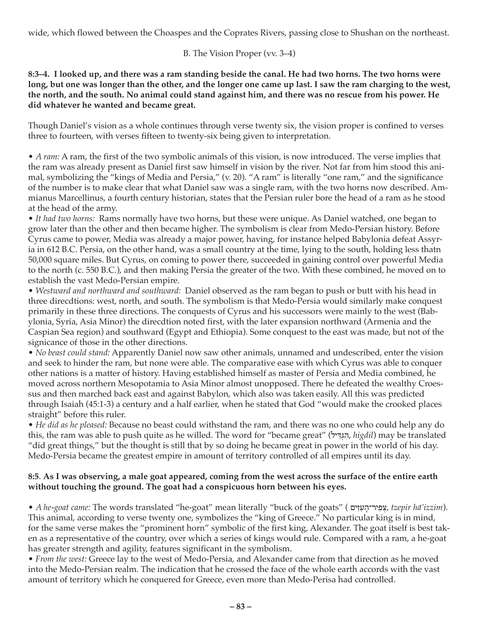wide, which flowed between the Choaspes and the Coprates Rivers, passing close to Shushan on the northeast.

B. The Vision Proper (vv. 3–4)

**8:3–4. I looked up, and there was a ram standing beside the canal. He had two horns. The two horns were long, but one was longer than the other, and the longer one came up last. I saw the ram charging to the west, the north, and the south. No animal could stand against him, and there was no rescue from his power. He did whatever he wanted and became great.**

Though Daniel's vision as a whole continues through verse twenty six, the vision proper is confined to verses three to fourteen, with verses fifteen to twenty-six being given to interpretation.

• *A ram:* A ram, the first of the two symbolic animals of this vision, is now introduced. The verse implies that the ram was already present as Daniel first saw himself in vision by the river. Not far from him stood this animal, symbolizing the "kings of Media and Persia," (v. 20). "A ram" is literally "one ram," and the significance of the number is to make clear that what Daniel saw was a single ram, with the two horns now described. Ammianus Marcellinus, a fourth century historian, states that the Persian ruler bore the head of a ram as he stood at the head of the army.

• *It had two horns:* Rams normally have two horns, but these were unique. As Daniel watched, one began to grow later than the other and then became higher. The symbolism is clear from Medo-Persian history. Before Cyrus came to power, Media was already a major power, having, for instance helped Babylonia defeat Assyria in 612 B.C. Persia, on the other hand, was a small country at the time, lying to the south, holding less thatn 50,000 square miles. But Cyrus, on coming to power there, succeeded in gaining control over powerful Media to the north (c. 550 B.C.), and then making Persia the greater of the two. With these combined, he moved on to establish the vast Medo-Persian empire.

• *Westward and northward and southward:* Daniel observed as the ram began to push or butt with his head in three direcdtions: west, north, and south. The symbolism is that Medo-Persia would similarly make conquest primarily in these three directions. The conquests of Cyrus and his successors were mainly to the west (Babylonia, Syria, Asia Minor) the direcdtion noted first, with the later expansion northward (Armenia and the Caspian Sea region) and southward (Egypt and Ethiopia). Some conquest to the east was made, but not of the signicance of those in the other directions.

• *No beast could stand:* Apparently Daniel now saw other animals, unnamed and undescribed, enter the vision and seek to hinder the ram, but none were able. The comparative ease with which Cyrus was able to conquer other nations is a matter of history. Having established himself as master of Persia and Media combined, he moved across northern Mesopotamia to Asia Minor almost unopposed. There he defeated the wealthy Croessus and then marched back east and against Babylon, which also was taken easily. All this was predicted through Isaiah (45:1-3) a century and a half earlier, when he stated that God "would make the crooked places straight" before this ruler.

• *He did as he pleased:* Because no beast could withstand the ram, and there was no one who could help any do this, the ram was able to push quite as he willed. The word for "became great" (הגְדִיל, *higdil*) may be translated "did great things," but the thought is still that by so doing he became great in power in the world of his day. Medo-Persia became the greatest empire in amount of territory controlled of all empires until its day.

# **8:5**. **As I was observing, a male goat appeared, coming from the west across the surface of the entire earth without touching the ground. The goat had a conspicuous horn between his eyes.**

• *A he-goat came:* The words translated "he-goat" mean literally "buck of the goats" ( עֲפִיר־הָעָזִים, *tzepir hā'izzim*). This animal, according to verse twenty one, symbolizes the "king of Greece." No particular king is in mind, for the same verse makes the "prominent horn" symbolic of the first king, Alexander. The goat itself is best taken as a representative of the country, over which a series of kings would rule. Compared with a ram, a he-goat has greater strength and agility, features significant in the symbolism.

• *From the west:* Greece lay to the west of Medo-Persia, and Alexander came from that direction as he moved into the Medo-Persian realm. The indication that he crossed the face of the whole earth accords with the vast amount of territory which he conquered for Greece, even more than Medo-Perisa had controlled.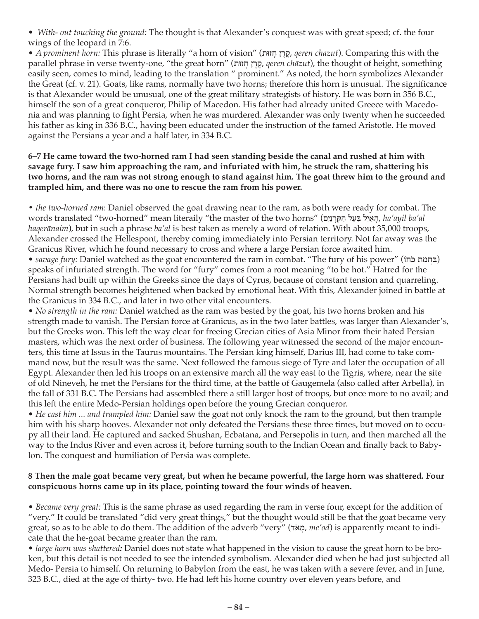• *With- out touching the ground:* The thought is that Alexander's conquest was with great speed; cf. the four wings of the leopard in 7:6.

• *A prominent horn:* This phrase is literally "a horn of vision" (זוּת ָח ן ֶר ֶק, *qeren chāzut*). Comparing this with the parallel phrase in verse twenty-one, "the great horn" (קָרֶן חָזוּת, *qeren chāzut*), the thought of height, something easily seen, comes to mind, leading to the translation " prominent." As noted, the horn symbolizes Alexander the Great (cf. v. 21). Goats, like rams, normally have two horns; therefore this horn is unusual. The significance is that Alexander would be unusual, one of the great military strategists of history. He was born in 356 B.C., himself the son of a great conqueror, Philip of Macedon. His father had already united Greece with Macedonia and was planning to fight Persia, when he was murdered. Alexander was only twenty when he succeeded his father as king in 336 B.C., having been educated under the instruction of the famed Aristotle. He moved against the Persians a year and a half later, in 334 B.C.

## **6–7 He came toward the two-horned ram I had seen standing beside the canal and rushed at him with savage fury. I saw him approaching the ram, and infuriated with him, he struck the ram, shattering his two horns, and the ram was not strong enough to stand against him. The goat threw him to the ground and trampled him, and there was no one to rescue the ram from his power.**

**•** *the two-horned ram*: Daniel observed the goat drawing near to the ram, as both were ready for combat. The words translated "two-horned" mean literaily "the master of the two horns" (םִיַנ ָר ְקּ ַה ל ַע ַבּ לִאַי ָה, *hā'ayil ba'al haqerānaim*), but in such a phrase *ba'al* is best taken as merely a word of relation. With about 35,000 troops, Alexander crossed the Hellespont, thereby coming immediately into Persian territory. Not far away was the Granicus River, which he found necessary to cross and where a large Persian force awaited him.

• *savage fury*: Daniel watched as the goat encountered the ram in combat. "The fury of his power" (בְּחַמַּת כֹּח speaks of infuriated strength. The word for "fury" comes from a root meaning "to be hot." Hatred for the Persians had built up within the Greeks since the days of Cyrus, because of constant tension and quarreling. Normal strength becomes heightened when backed by emotional heat. With this, Alexander joined in battle at the Granicus in 334 B.C., and later in two other vital encounters.

• *No strength in the ram:* Daniel watched as the ram was bested by the goat, his two horns broken and his strength made to vanish. The Persian force at Granicus, as in the two later battles, was larger than Alexander's, but the Greeks won. This left the way clear for freeing Grecian cities of Asia Minor from their hated Persian masters, which was the next order of business. The following year witnessed the second of the major encounters, this time at Issus in the Taurus mountains. The Persian king himself, Darius III, had come to take command now, but the result was the same. Next followed the famous siege of Tyre and later the occupation of all Egypt. Alexander then led his troops on an extensive march all the way east to the Tigris, where, near the site of old Nineveh, he met the Persians for the third time, at the battle of Gaugemela (also called after Arbella), in the fall of 331 B.C. The Persians had assembled there a still larger host of troops, but once more to no avail; and this left the entire Medo-Persian holdings open before the young Grecian conqueror.

• *He cast him ... and trampled him:* Daniel saw the goat not only knock the ram to the ground, but then trample him with his sharp hooves. Alexander not only defeated the Persians these three times, but moved on to occupy all their land. He captured and sacked Shushan, Ecbatana, and Persepolis in turn, and then marched all the way to the Indus River and even across it, before turning south to the Indian Ocean and finally back to Babylon. The conquest and humiliation of Persia was complete.

## **8 Then the male goat became very great, but when he became powerful, the large horn was shattered. Four conspicuous horns came up in its place, pointing toward the four winds of heaven.**

• *Became very great:* This is the same phrase as used regarding the ram in verse four, except for the addition of "very." It could be translated "did very great things," but the thought would still be that the goat became very great, so as to be able to do them. The addition of the adverb "very" (דֹא ְמ, *me'od*) is apparently meant to indicate that the he-goat became greater than the ram.

• *large horn was shattered:* Daniel does not state what happened in the vision to cause the great horn to be broken, but this detail is not needed to see the intended symbolism. Alexander died when he had just subjected all Medo- Persia to himself. On returning to Babylon from the east, he was taken with a severe fever, and in June, 323 B.C., died at the age of thirty- two. He had left his home country over eleven years before, and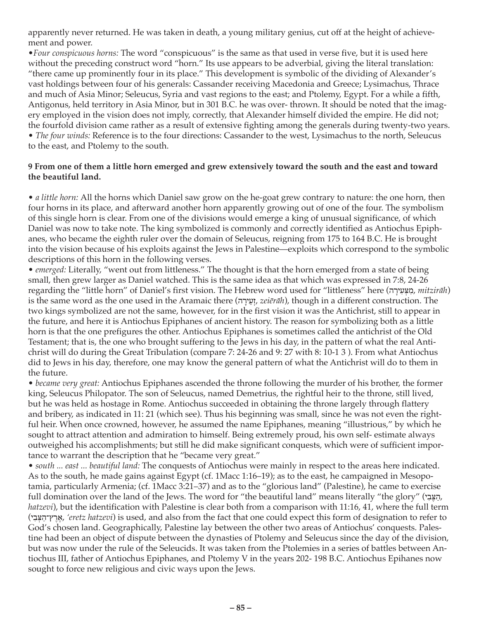apparently never returned. He was taken in death, a young military genius, cut off at the height of achievement and power.

•*Four conspicuous horns:* The word "conspicuous" is the same as that used in verse five, but it is used here without the preceding construct word "horn." Its use appears to be adverbial, giving the literal translation: "there came up prominently four in its place." This development is symbolic of the dividing of Alexander's vast holdings between four of his generals: Cassander receiving Macedonia and Greece; Lysimachus, Thrace and much of Asia Minor; Seleucus, Syria and vast regions to the east; and Ptolemy, Egypt. For a while a fifth, Antigonus, held territory in Asia Minor, but in 301 B.C. he was over- thrown. It should be noted that the imagery employed in the vision does not imply, correctly, that Alexander himself divided the empire. He did not; the fourfold division came rather as a result of extensive fighting among the generals during twenty-two years. • *The four winds:* Reference is to the four directions: Cassander to the west, Lysimachus to the north, Seleucus to the east, and Ptolemy to the south.

#### **9 From one of them a little horn emerged and grew extensively toward the south and the east and toward the beautiful land.**

• *a little horn:* All the horns which Daniel saw grow on the he-goat grew contrary to nature: the one horn, then four horns in its place, and afterward another horn apparently growing out of one of the four. The symbolism of this single horn is clear. From one of the divisions would emerge a king of unusual significance, of which Daniel was now to take note. The king symbolized is commonly and correctly identified as Antiochus Epiphanes, who became the eighth ruler over the domain of Seleucus, reigning from 175 to 164 B.C. He is brought into the vision because of his exploits against the Jews in Palestine—exploits which correspond to the symbolic descriptions of this horn in the following verses.

• *emerged:* Literally, "went out from littleness." The thought is that the horn emerged from a state of being small, then grew larger as Daniel watched. This is the same idea as that which was expressed in 7:8, 24-26 regarding the "little horn" of Daniel's first vision. The Hebrew word used for "littleness" here (ה ָיר ִע ְצּ ִמ, *mitzirāh*) is the same word as the one used in the Aramaic there (הָעֵירָה, zeiērāh), though in a different construction. The two kings symbolized are not the same, however, for in the first vision it was the Antichrist, still to appear in the future, and here it is Antiochus Epiphanes of ancient history. The reason for symbolizing both as a little horn is that the one prefigures the other. Antiochus Epiphanes is sometimes called the antichrist of the Old Testament; that is, the one who brought suffering to the Jews in his day, in the pattern of what the real Antichrist will do during the Great Tribulation (compare 7: 24-26 and 9: 27 with 8: 10-1 3 ). From what Antiochus did to Jews in his day, therefore, one may know the general pattern of what the Antichrist will do to them in the future.

• *became very great:* Antiochus Epiphanes ascended the throne following the murder of his brother, the former king, Seleucus Philopator. The son of Seleucus, named Demetrius, the rightful heir to the throne, still lived, but he was held as hostage in Rome. Antiochus succeeded in obtaining the throne largely through flattery and bribery, as indicated in 11: 21 (which see). Thus his beginning was small, since he was not even the rightful heir. When once crowned, however, he assumed the name Epiphanes, meaning "illustrious," by which he sought to attract attention and admiration to himself. Being extremely proud, his own self- estimate always outweighed his accomplishments; but still he did make significant conquests, which were of sufficient importance to warrant the description that he "became very great."

• *south ... east ... beautiful land:* The conquests of Antiochus were mainly in respect to the areas here indicated. As to the south, he made gains against Egypt (cf. 1Macc 1:16–19); as to the east, he campaigned in Mesopotamia, particularly Armenia; (cf. 1Macc 3:21–37) and as to the "glorious land" (Palestine), he came to exercise full domination over the land of the Jews. The word for "the beautiful land" means literally "the glory" (הַצֶּבִי, *hatzevi*), but the identification with Palestine is clear both from a comparison with 11:16, 41, where the full term (י ִב ְצּ ַץ־ה ֶר ֶא,*' eretz hatzevi*) is used, and also from the fact that one could expect this form of designation to refer to God's chosen land. Geographically, Palestine lay between the other two areas of Antiochus' conquests. Palestine had been an object of dispute between the dynasties of Ptolemy and Seleucus since the day of the division, but was now under the rule of the Seleucids. It was taken from the Ptolemies in a series of battles between Antiochus III, father of Antiochus Epiphanes, and Ptolemy V in the years 202- 198 B.C. Antiochus Epihanes now sought to force new religious and civic ways upon the Jews.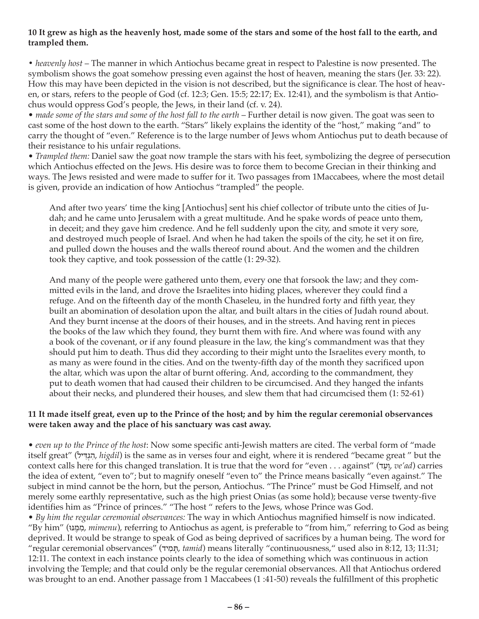# **10 It grew as high as the heavenly host, made some of the stars and some of the host fall to the earth, and trampled them.**

**•** *heavenly host* – The manner in which Antiochus became great in respect to Palestine is now presented. The symbolism shows the goat somehow pressing even against the host of heaven, meaning the stars (Jer. 33: 22). How this may have been depicted in the vision is not described, but the significance is clear. The host of heaven, or stars, refers to the people of God (cf. 12:3; Gen. 15:5; 22:17; Ex. 12:41), and the symbolism is that Antiochus would oppress God's people, the Jews, in their land (cf. v. 24).

• *made some of the stars and some of the host fall to the earth* – Further detail is now given. The goat was seen to cast some of the host down to the earth. "Stars" likely explains the identity of the "host," making "and" to carry the thought of "even." Reference is to the large number of Jews whom Antiochus put to death because of their resistance to his unfair regulations.

• *Trampled them:* Daniel saw the goat now trample the stars with his feet, symbolizing the degree of persecution which Antiochus effected on the Jews. His desire was to force them to become Grecian in their thinking and ways. The Jews resisted and were made to suffer for it. Two passages from 1Maccabees, where the most detail is given, provide an indication of how Antiochus "trampled" the people.

And after two years' time the king [Antiochus] sent his chief collector of tribute unto the cities of Judah; and he came unto Jerusalem with a great multitude. And he spake words of peace unto them, in deceit; and they gave him credence. And he fell suddenly upon the city, and smote it very sore, and destroyed much people of Israel. And when he had taken the spoils of the city, he set it on fire, and pulled down the houses and the walls thereof round about. And the women and the children took they captive, and took possession of the cattle (1: 29-32).

And many of the people were gathered unto them, every one that forsook the law; and they committed evils in the land, and drove the Israelites into hiding places, wherever they could find a refuge. And on the fifteenth day of the month Chaseleu, in the hundred forty and fifth year, they built an abomination of desolation upon the altar, and built altars in the cities of Judah round about. And they burnt incense at the doors of their houses, and in the streets. And having rent in pieces the books of the law which they found, they burnt them with fire. And where was found with any a book of the covenant, or if any found pleasure in the law, the king's commandment was that they should put him to death. Thus did they according to their might unto the Israelites every month, to as many as were found in the cities. And on the twenty-fifth day of the month they sacrificed upon the altar, which was upon the altar of burnt offering. And, according to the commandment, they put to death women that had caused their children to be circumcised. And they hanged the infants about their necks, and plundered their houses, and slew them that had circumcised them (1: 52-61)

## **11 It made itself great, even up to the Prince of the host; and by him the regular ceremonial observances were taken away and the place of his sanctuary was cast away.**

• *even up to the Prince of the host*: Now some specific anti-Jewish matters are cited. The verbal form of "made itself great" (הָגְדִיל, *higdil*) is the same as in verses four and eight, where it is rendered "became great" but the context calls here for this changed translation. It is true that the word for "even . . . against" (דְעָד, *ve'ad*) carries the idea of extent, "even to"; but to magnify oneself "even to" the Prince means basically "even against." The subject in mind cannot be the horn, but the person, Antiochus. "The Prince" must be God Himself, and not merely some earthly representative, such as the high priest Onias (as some hold); because verse twenty-five identifies him as "Prince of princes." "The host " refers to the Jews, whose Prince was God.

• *By him the regular ceremonial observances:* The way in which Antiochus magnified himself is now indicated. "By him" (נּוּ ֶמּ ִמ, *mimenu*), referring to Antiochus as agent, is preferable to "from him," referring to God as being deprived. It would be strange to speak of God as being deprived of sacrifices by a human being. The word for "regular ceremonial observances" (תְּמִיד, tamid) means literally "continuousness," used also in 8:12, 13; 11:31; 12:11. The context in each instance points clearly to the idea of something which was continuous in action involving the Temple; and that could only be the regular ceremonial observances. All that Antiochus ordered was brought to an end. Another passage from 1 Maccabees (1:41-50) reveals the fulfillment of this prophetic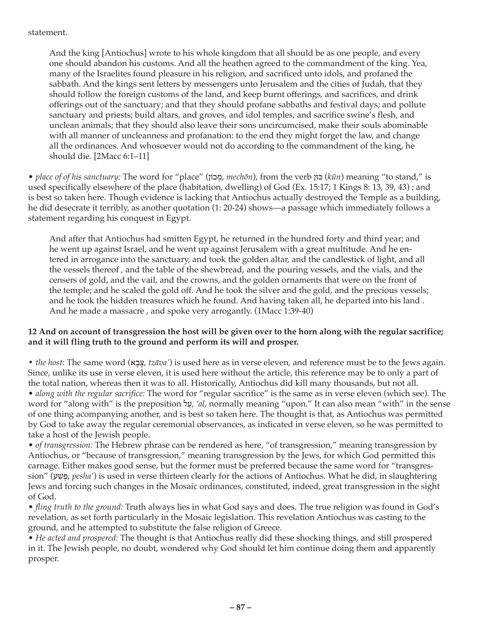And the king [Antiochus] wrote to his whole kingdom that all should be as one people, and every one should abandon his customs. And all the heathen agreed to the commandment of the king. Yea, many of the Israelites found pleasure in his religion, and sacrificed unto idols, and profaned the sabbath. And the kings sent letters by messengers unto Jerusalem and the cities of Judah, that they should follow the foreign customs of the land, and keep burnt offerings, and sacrifices, and drink offerings out of the sanctuary; and that they should profane sabbaths and festival days; and pollute sanctuary and priests; build altars, and groves, and idol temples, and sacrifice swine's flesh, and unclean animals; that they should also leave their sons uncircumcised, make their souls abominable with all manner of uncleanness and profanation: to the end they might forget the law, and change all the ordinances. And whosoever would not do according to the commandment of the king, he should die. [2Macc 6:1–11]

• *place of of his sanctuary:* The word for "place" (וןֹכ ְמ, *mechōn*), from the verb וןּכּ) *kūn*) meaning "to stand," is used specifically elsewhere of the place (habitation, dwelling) of God (Ex. 15:17; 1 Kings 8: 13, 39, 43) ; and is best so taken here. Though evidence is lacking that Antiochus actually destroyed the Temple as a building, he did desecrate it terribly, as another quotation (1: 20-24) shows—a passage which immediately follows a statement regarding his conquest in Egypt.

And after that Antiochus had smitten Egypt, he returned in the hundred forty and third year; and he went up against Israel, and he went up against Jerusalem with a great multitude. And he entered in arrogance into the sanctuary, and took the golden altar, and the candlestick of light, and all the vessels thereof , and the table of the shewbread, and the pouring vessels, and the vials, and the censers of gold, and the vail, and the crowns, and the golden ornaments that were on the front of the temple; and he scaled the gold off. And he took the silver and the gold, and the precious vessels; and he took the hidden treasures which he found. And having taken all, he departed into his land . And he made a massacre , and spoke very arrogantly. (1Macc 1:39-40)

# **12 And on account of transgression the host will be given over to the horn along with the regular sacrifice; and it will fling truth to the ground and perform its will and prosper.**

**•** *the host:* The same word (א ָב ָצ, *tzāva'*) is used here as in verse eleven, and reference must be to the Jews again. Since, unlike its use in verse eleven, it is used here without the article, this reference may be to only a part of the total nation, whereas then it was to all. Historically, Antiochus did kill many thousands, but not all.

• *along with the regular sacrifice:* The word for "regular sacrifice" is the same as in verse eleven (which see). The word for "along with" is the preposition עָל, 'al, normally meaning "upon." It can also mean "with" in the sense of one thing acompanying another, and is best so taken here. The thought is that, as Antiochus was permitted by God to take away the regular ceremonial observances, as indicated in verse eleven, so he was permitted to take a host of the Jewish people.

• *of transgression:* The Hebrew phrase can be rendered as here, "of transgression," meaning transgression by Antiochus, or "because of transgression," meaning transgression by the Jews, for which God permitted this carnage. Either makes good sense, but the former must be preferred because the same word for "transgression" (ע ַשׁ ָפ, *pesha'*) is used in verse thirteen clearly for the actions of Antiochus. What he did, in slaughtering Jews and forcing such changes in the Mosaic ordinances, constituted, indeed, great transgression in the sight of God.

• *fling truth to the ground:* Truth always lies in what God says and does. The true religion was found in God's revelation, as set forth particularly in the Mosaic legislation. This revelation Antiochus was casting to the ground, and he attempted to substitute the false religion of Greece.

• *He acted and prospered:* The thought is that Antiochus really did these shocking things, and still prospered in it. The Jewish people, no doubt, wondered why God should let him continue doing them and apparently prosper.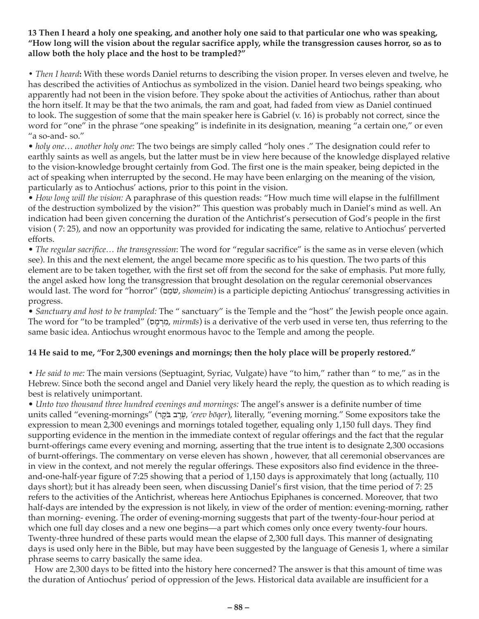## **13 Then I heard a holy one speaking, and another holy one said to that particular one who was speaking, "How long will the vision about the regular sacrifice apply, while the transgression causes horror, so as to allow both the holy place and the host to be trampled?"**

**•** *Then I heard***:** With these words Daniel returns to describing the vision proper. In verses eleven and twelve, he has described the activities of Antiochus as symbolized in the vision. Daniel heard two beings speaking, who apparently had not been in the vision before. They spoke about the activities of Antiochus, rather than about the horn itself. It may be that the two animals, the ram and goat, had faded from view as Daniel continued to look. The suggestion of some that the main speaker here is Gabriel (v. 16) is probably not correct, since the word for "one" in the phrase "one speaking" is indefinite in its designation, meaning "a certain one," or even "a so-and- so."

• *holy one… another holy one:* The two beings are simply called "holy ones ." The designation could refer to earthly saints as well as angels, but the latter must be in view here because of the knowledge displayed relative to the vision-knowledge brought certainly from God. The first one is the main speaker, being depicted in the act of speaking when interrupted by the second. He may have been enlarging on the meaning of the vision, particularly as to Antiochus' actions, prior to this point in the vision.

• *How long will the vision:* A paraphrase of this question reads: "How much time will elapse in the fulfillment of the destruction symbolized by the vision?" This question was probably much in Daniel's mind as well. An indication had been given concerning the duration of the Antichrist's persecution of God's people in the first vision ( 7: 25), and now an opportunity was provided for indicating the same, relative to Antiochus' perverted efforts.

• *The regular sacrifice… the transgression*: The word for "regular sacrifice" is the same as in verse eleven (which see). In this and the next element, the angel became more specific as to his question. The two parts of this element are to be taken together, with the first set off from the second for the sake of emphasis. Put more fully, the angel asked how long the transgression that brought desolation on the regular ceremonial observances would last. The word for "horror" (שׂמָם, *shomeim*) is a participle depicting Antiochus' transgressing activities in progress.

• *Sanctuary and host to be trampled:* The " sanctuary" is the Temple and the "host" the Jewish people once again. The word for "to be trampled" (מְרָמָס, *mirmās*) is a derivative of the verb used in verse ten, thus referring to the same basic idea. Antiochus wrought enormous havoc to the Temple and among the people.

## **14 He said to me, "For 2,300 evenings and mornings; then the holy place will be properly restored."**

**•** *He said to me:* The main versions (Septuagint, Syriac, Vulgate) have "to him," rather than " to me," as in the Hebrew. Since both the second angel and Daniel very likely heard the reply, the question as to which reading is best is relatively unimportant.

• *Unto two thousand three hundred evenings and mornings:* The angel's answer is a definite number of time units called "evening-mornings" (עֶרֶב בֹּקֶר, *'erev bōqer*), literally, "evening morning." Some expositors take the expression to mean 2,300 evenings and mornings totaled together, equaling only 1,150 full days. They find supporting evidence in the mention in the immediate context of regular offerings and the fact that the regular burnt-offerings came every evening and morning, asserting that the true intent is to designate 2,300 occasions of burnt-offerings. The commentary on verse eleven has shown , however, that all ceremonial observances are in view in the context, and not merely the regular offerings. These expositors also find evidence in the threeand-one-half-year figure of 7:25 showing that a period of 1,150 days is approximately that long (actually, 110 days short); but it has already been seen, when discussing Daniel's first vision, that the time period of 7: 25 refers to the activities of the Antichrist, whereas here Antiochus Epiphanes is concerned. Moreover, that two half-days are intended by the expression is not likely, in view of the order of mention: evening-morning, rather than morning- evening. The order of evening-morning suggests that part of the twenty-four-hour period at which one full day closes and a new one begins—a part which comes only once every twenty-four hours. Twenty-three hundred of these parts would mean the elapse of 2,300 full days. This manner of designating days is used only here in the Bible, but may have been suggested by the language of Genesis 1, where a similar phrase seems to carry basically the same idea.

 How are 2,300 days to be fitted into the history here concerned? The answer is that this amount of time was the duration of Antiochus' period of oppression of the Jews. Historical data available are insufficient for a